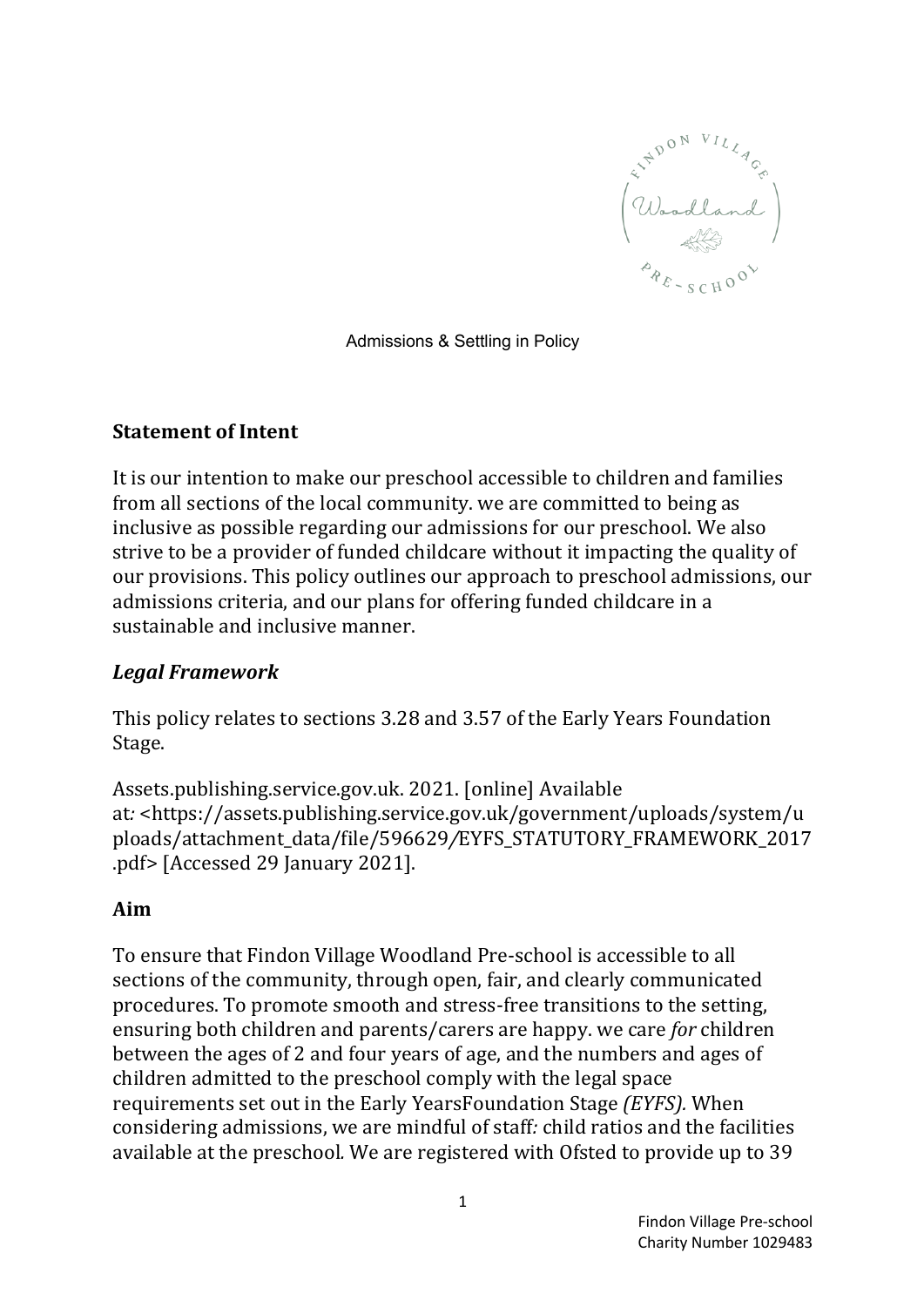

Admissions & Settling in Policy

#### **Statement of Intent**

It is our intention to make our preschool accessible to children and families from all sections of the local community, we are committed to being as inclusive as possible regarding our admissions for our preschool. We also strive to be a provider of funded childcare without it impacting the quality of our provisions. This policy outlines our approach to preschool admissions, our admissions criteria, and our plans for offering funded childcare in a sustainable and inclusive manner.

### *Legal Framework*

This policy relates to sections 3.28 and 3.57 of the Early Years Foundation Stage.

Assets.publishing.service.gov.uk. 2021. [online] Available at*:* <https://assets.publishing.service.gov.uk/government/uploads/system/u ploads/attachment\_data/file/596629*/*EYFS\_STATUTORY\_FRAMEWORK\_2017 .pdf> [Accessed 29 January 2021].

### **Aim**

To ensure that Findon Village Woodland Pre-school is accessible to all sections of the community, through open, fair, and clearly communicated procedures. To promote smooth and stress-free transitions to the setting, ensuring both children and parents/carers are happy. we care *for* children between the ages of 2 and four years of age, and the numbers and ages of children admitted to the preschool comply with the legal space requirements set out in the Early YearsFoundation Stage *(EYFS)*. When considering admissions, we are mindful of staff: child ratios and the facilities available at the preschool. We are registered with Ofsted to provide up to 39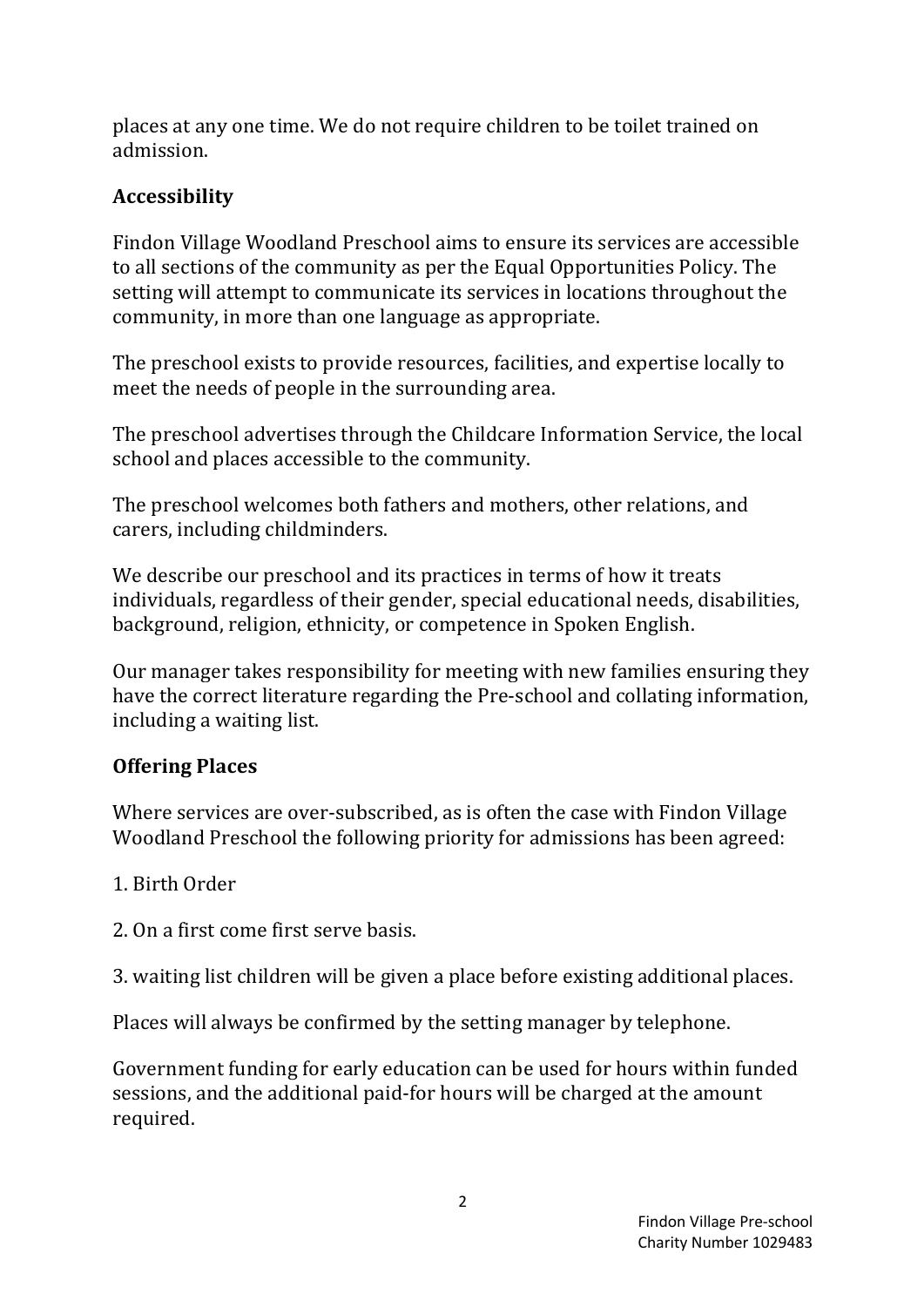places at any one time. We do not require children to be toilet trained on admission.

# **Accessibility**

Findon Village Woodland Preschool aims to ensure its services are accessible to all sections of the community as per the Equal Opportunities Policy. The setting will attempt to communicate its services in locations throughout the community, in more than one language as appropriate.

The preschool exists to provide resources, facilities, and expertise locally to meet the needs of people in the surrounding area.

The preschool advertises through the Childcare Information Service, the local school and places accessible to the community.

The preschool welcomes both fathers and mothers, other relations, and carers, including childminders.

We describe our preschool and its practices in terms of how it treats individuals, regardless of their gender, special educational needs, disabilities, background, religion, ethnicity, or competence in Spoken English.

Our manager takes responsibility for meeting with new families ensuring they have the correct literature regarding the Pre-school and collating information, including a waiting list.

## **Offering Places**

Where services are over-subscribed, as is often the case with Findon Village Woodland Preschool the following priority for admissions has been agreed:

1. Birth Order

2. On a first come first serve basis.

3. waiting list children will be given a place before existing additional places.

Places will always be confirmed by the setting manager by telephone.

Government funding for early education can be used for hours within funded sessions, and the additional paid-for hours will be charged at the amount required.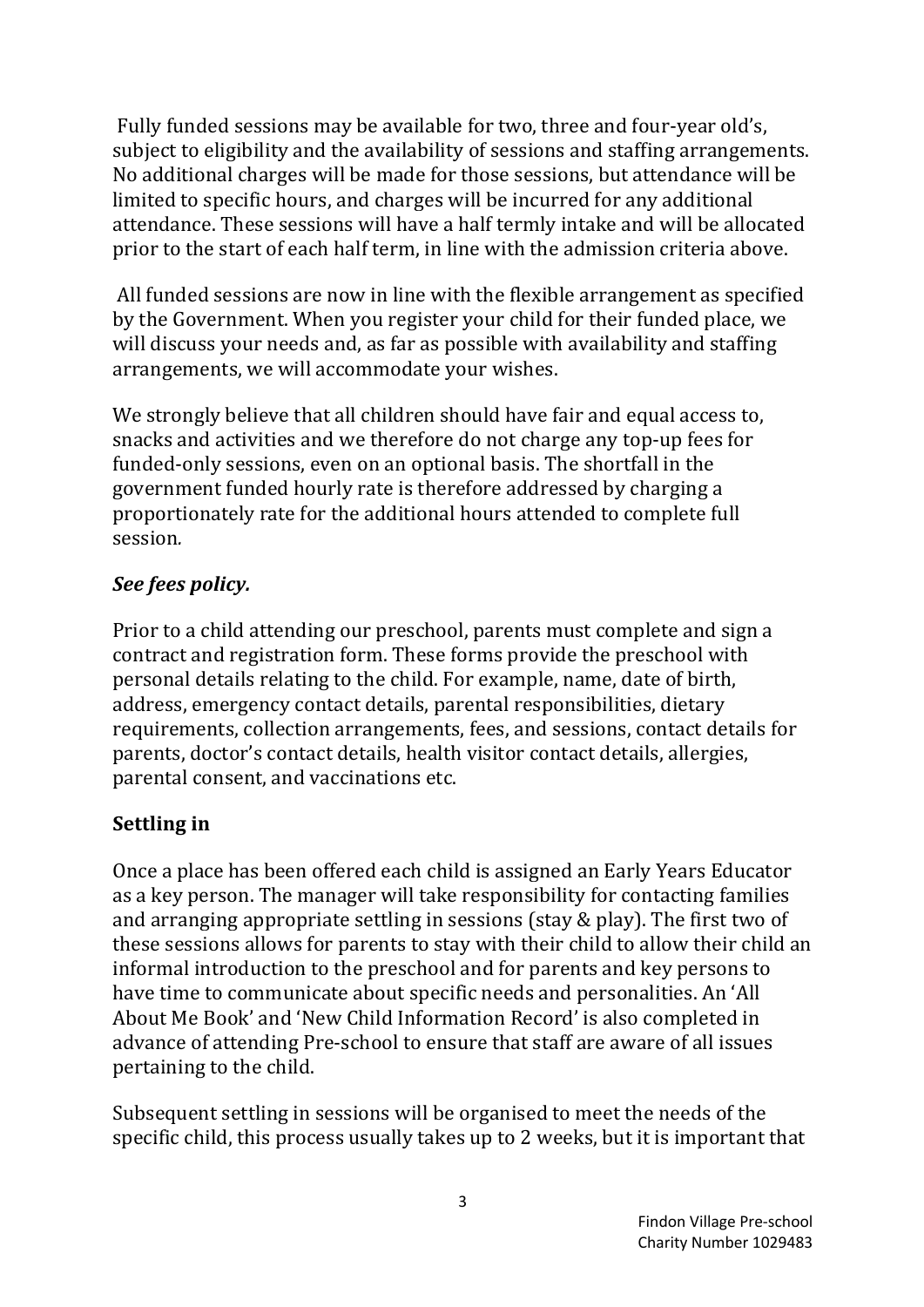Fully funded sessions may be available for two, three and four-year old's, subject to eligibility and the availability of sessions and staffing arrangements. No additional charges will be made for those sessions, but attendance will be limited to specific hours, and charges will be incurred for any additional attendance. These sessions will have a half termly intake and will be allocated prior to the start of each half term, in line with the admission criteria above.

All funded sessions are now in line with the flexible arrangement as specified by the Government. When you register your child for their funded place, we will discuss your needs and, as far as possible with availability and staffing arrangements, we will accommodate your wishes.

We strongly believe that all children should have fair and equal access to, snacks and activities and we therefore do not charge any top-up fees for funded-only sessions, even on an optional basis. The shortfall in the government funded hourly rate is therefore addressed by charging a proportionately rate for the additional hours attended to complete full session*.*

### *See fees policy.*

Prior to a child attending our preschool, parents must complete and sign a contract and registration form. These forms provide the preschool with personal details relating to the child. For example, name, date of birth, address, emergency contact details, parental responsibilities, dietary requirements, collection arrangements, fees, and sessions, contact details for parents, doctor's contact details, health visitor contact details, allergies, parental consent, and vaccinations etc.

## **Settling** in

Once a place has been offered each child is assigned an Early Years Educator as a key person. The manager will take responsibility for contacting families and arranging appropriate settling in sessions (stay  $&$  play). The first two of these sessions allows for parents to stay with their child to allow their child an informal introduction to the preschool and for parents and key persons to have time to communicate about specific needs and personalities. An 'All About Me Book' and 'New Child Information Record' is also completed in advance of attending Pre-school to ensure that staff are aware of all issues pertaining to the child.

Subsequent settling in sessions will be organised to meet the needs of the specific child, this process usually takes up to 2 weeks, but it is important that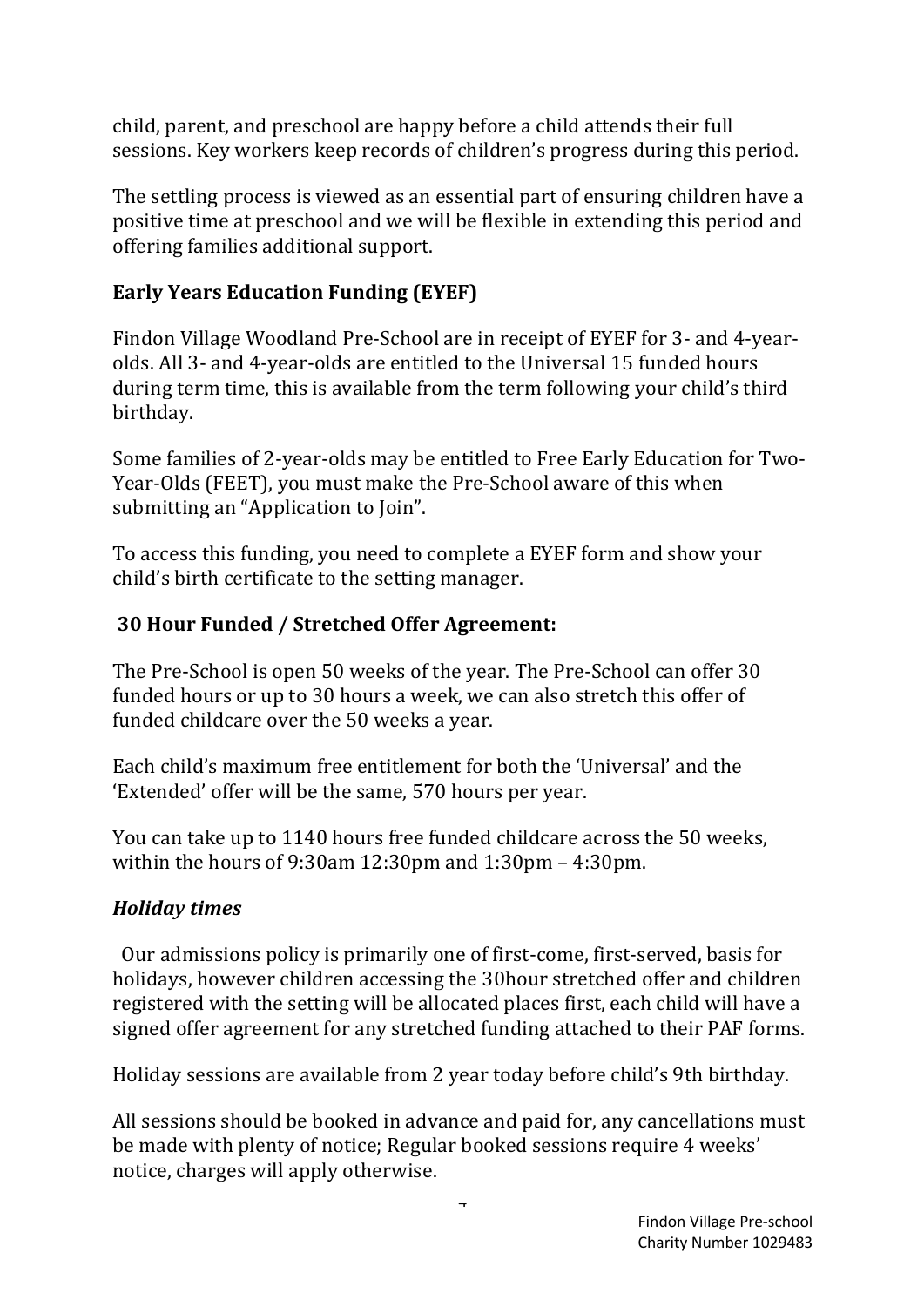child, parent, and preschool are happy before a child attends their full sessions. Key workers keep records of children's progress during this period.

The settling process is viewed as an essential part of ensuring children have a positive time at preschool and we will be flexible in extending this period and offering families additional support.

# **Early Years Education Funding (EYEF)**

Findon Village Woodland Pre-School are in receipt of EYEF for 3- and 4-yearolds. All 3- and 4-year-olds are entitled to the Universal 15 funded hours during term time, this is available from the term following your child's third birthday.

Some families of 2-year-olds may be entitled to Free Early Education for Two-Year-Olds (FEET), you must make the Pre-School aware of this when submitting an "Application to Join".

To access this funding, you need to complete a EYEF form and show your child's birth certificate to the setting manager.

# **30 Hour Funded / Stretched Offer Agreement:**

The Pre-School is open 50 weeks of the year. The Pre-School can offer 30 funded hours or up to 30 hours a week, we can also stretch this offer of funded childcare over the 50 weeks a year.

Each child's maximum free entitlement for both the 'Universal' and the 'Extended' offer will be the same, 570 hours per year.

You can take up to 1140 hours free funded childcare across the 50 weeks, within the hours of 9:30am  $12:30$ pm and  $1:30$ pm – 4:30pm.

## *Holiday times*

Our admissions policy is primarily one of first-come, first-served, basis for holidays, however children accessing the 30hour stretched offer and children registered with the setting will be allocated places first, each child will have a signed offer agreement for any stretched funding attached to their PAF forms.

Holiday sessions are available from 2 year today before child's 9th birthday.

All sessions should be booked in advance and paid for, any cancellations must be made with plenty of notice; Regular booked sessions require 4 weeks' notice, charges will apply otherwise.

4